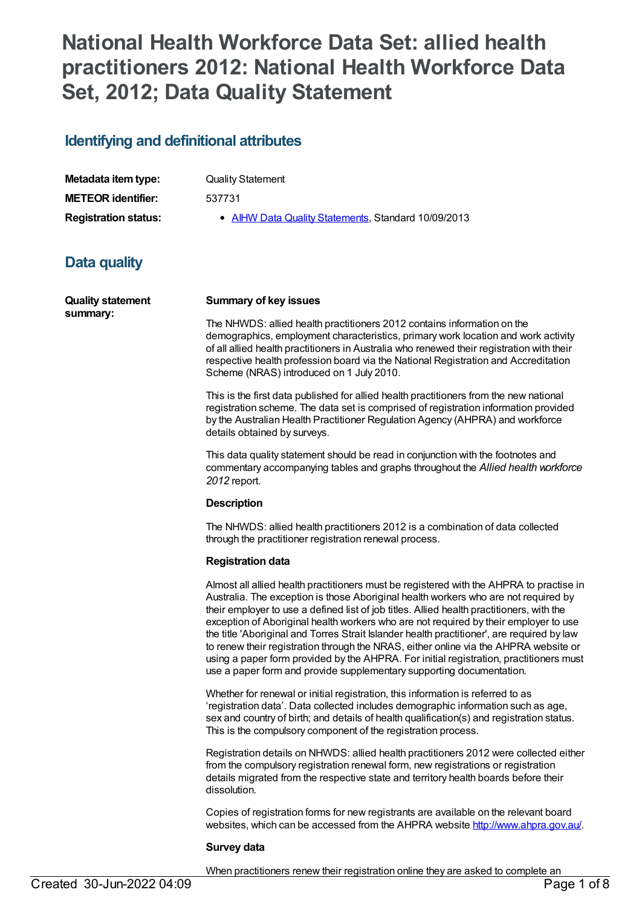# **National Health Workforce Data Set: allied health practitioners 2012: National Health Workforce Data Set, 2012; Data Quality Statement**

### **Identifying and definitional attributes**

| Metadata item type:         | <b>Quality Statement</b>                            |  |  |
|-----------------------------|-----------------------------------------------------|--|--|
| <b>METEOR identifier:</b>   | 537731                                              |  |  |
| <b>Registration status:</b> | • AIHW Data Quality Statements, Standard 10/09/2013 |  |  |

### **Data quality**

| <b>Quality statement</b> | <b>Summary of key issues</b>                                                                                                                                                                                                                                                                                                                                                                |
|--------------------------|---------------------------------------------------------------------------------------------------------------------------------------------------------------------------------------------------------------------------------------------------------------------------------------------------------------------------------------------------------------------------------------------|
| summary:                 | The NHWDS: allied health practitioners 2012 contains information on the<br>demographics, employment characteristics, primary work location and work activity<br>of all allied health practitioners in Australia who renewed their registration with their<br>respective health profession board via the National Registration and Accreditation<br>Scheme (NRAS) introduced on 1 July 2010. |
|                          | This is the first data published for allied health practitioners from the new national<br>registration scheme. The data set is comprised of registration information provided<br>by the Australian Health Practitioner Regulation Agency (AHPRA) and workforce<br>details obtained by surveys.                                                                                              |
|                          | This data quality statement should be read in conjunction with the footnotes and<br>commentary accompanying tables and graphs throughout the Allied health workforce<br>2012 report.                                                                                                                                                                                                        |
|                          | <b>Description</b>                                                                                                                                                                                                                                                                                                                                                                          |

The NHWDS: allied health practitioners 2012 is a combination of data collected through the practitioner registration renewal process.

#### **Registration data**

Almost all allied health practitioners must be registered with the AHPRA to practise in Australia. The exception is those Aboriginal health workers who are not required by their employer to use a defined list of job titles. Allied health practitioners, with the exception of Aboriginal health workers who are not required by their employer to use the title 'Aboriginal and Torres Strait Islander health practitioner', are required by law to renew their registration through the NRAS, either online via the AHPRA website or using a paper form provided by the AHPRA. For initial registration, practitioners must use a paper form and provide supplementary supporting documentation.

Whether for renewal or initial registration, this information is referred to as 'registration data'. Data collected includes demographic information such as age, sex and country of birth; and details of health qualification(s) and registration status. This is the compulsory component of the registration process.

Registration details on NHWDS: allied health practitioners 2012 were collected either from the compulsory registration renewal form, new registrations or registration details migrated from the respective state and territory health boards before their dissolution.

Copies of registration forms for new registrants are available on the relevant board websites, which can be accessed from the AHPRA website <http://www.ahpra.gov.au/>.

#### **Survey data**

When practitioners renew their registration online they are asked to complete an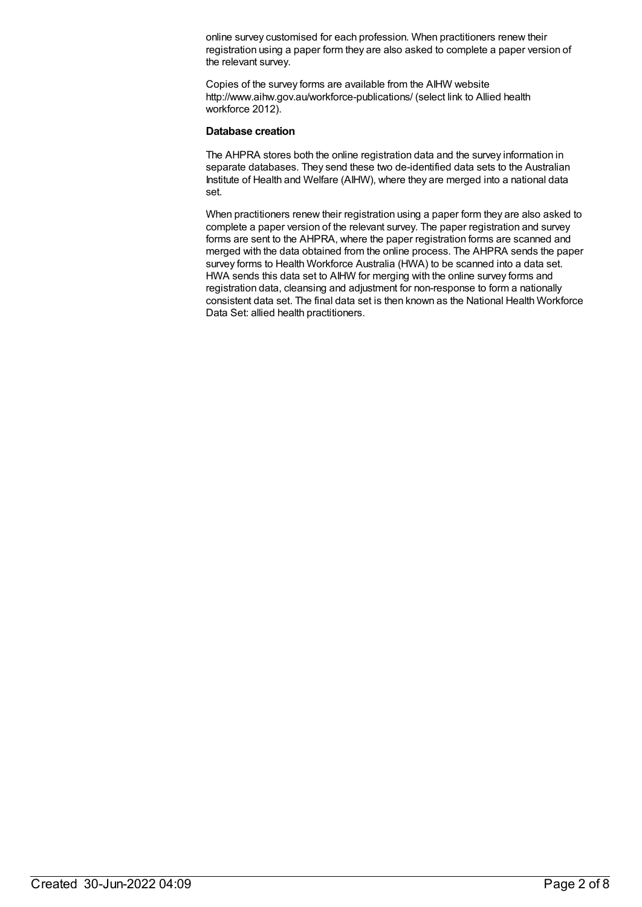online survey customised for each profession. When practitioners renew their registration using a paper form they are also asked to complete a paper version of the relevant survey.

Copies of the survey forms are available from the AIHW website http://www.aihw.gov.au/workforce-publications/ (select link to Allied health workforce 2012).

#### **Database creation**

The AHPRA stores both the online registration data and the survey information in separate databases. They send these two de-identified data sets to the Australian Institute of Health and Welfare (AIHW), where they are merged into a national data set.

When practitioners renew their registration using a paper form they are also asked to complete a paper version of the relevant survey. The paper registration and survey forms are sent to the AHPRA, where the paper registration forms are scanned and merged with the data obtained from the online process. The AHPRA sends the paper survey forms to Health Workforce Australia (HWA) to be scanned into a data set. HWA sends this data set to AIHW for merging with the online survey forms and registration data, cleansing and adjustment for non-response to form a nationally consistent data set. The final data set is then known as the National Health Workforce Data Set: allied health practitioners.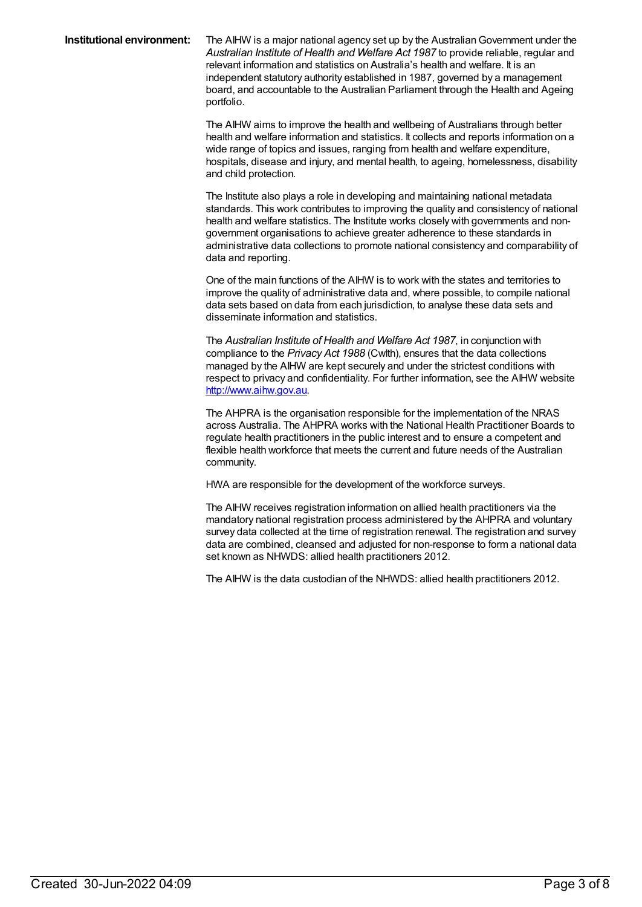#### **Institutional environment:** The AIHW is a major national agency set up by the Australian Government under the *Australian Institute of Health and Welfare Act 1987* to provide reliable, regular and relevant information and statistics on Australia's health and welfare. It is an independent statutory authority established in 1987, governed by a management board, and accountable to the Australian Parliament through the Health and Ageing portfolio.

The AIHW aims to improve the health and wellbeing of Australians through better health and welfare information and statistics. It collects and reports information on a wide range of topics and issues, ranging from health and welfare expenditure, hospitals, disease and injury, and mental health, to ageing, homelessness, disability and child protection.

The Institute also plays a role in developing and maintaining national metadata standards. This work contributes to improving the quality and consistency of national health and welfare statistics. The Institute works closely with governments and nongovernment organisations to achieve greater adherence to these standards in administrative data collections to promote national consistency and comparability of data and reporting.

One of the main functions of the AIHW is to work with the states and territories to improve the quality of administrative data and, where possible, to compile national data sets based on data from each jurisdiction, to analyse these data sets and disseminate information and statistics.

The *Australian Institute of Health and Welfare Act 1987*, in conjunction with compliance to the *Privacy Act 1988* (Cwlth), ensures that the data collections managed by the AIHW are kept securely and under the strictest conditions with respect to privacy and confidentiality. For further information, see the AIHW website <http://www.aihw.gov.au>.

The AHPRA is the organisation responsible for the implementation of the NRAS across Australia. The AHPRA works with the National Health Practitioner Boards to regulate health practitioners in the public interest and to ensure a competent and flexible health workforce that meets the current and future needs of the Australian community.

HWA are responsible for the development of the workforce surveys.

The AIHW receives registration information on allied health practitioners via the mandatory national registration process administered by the AHPRA and voluntary survey data collected at the time of registration renewal. The registration and survey data are combined, cleansed and adjusted for non-response to form a national data set known as NHWDS: allied health practitioners 2012.

The AIHW is the data custodian of the NHWDS: allied health practitioners 2012.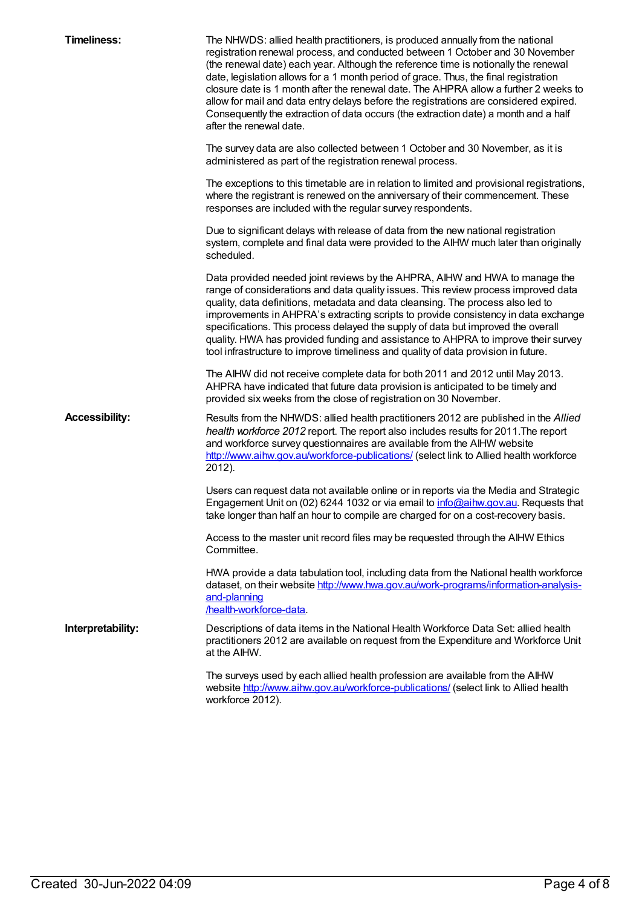| <b>Timeliness:</b>    | The NHWDS: allied health practitioners, is produced annually from the national<br>registration renewal process, and conducted between 1 October and 30 November<br>(the renewal date) each year. Although the reference time is notionally the renewal<br>date, legislation allows for a 1 month period of grace. Thus, the final registration<br>closure date is 1 month after the renewal date. The AHPRA allow a further 2 weeks to<br>allow for mail and data entry delays before the registrations are considered expired.<br>Consequently the extraction of data occurs (the extraction date) a month and a half<br>after the renewal date. |
|-----------------------|---------------------------------------------------------------------------------------------------------------------------------------------------------------------------------------------------------------------------------------------------------------------------------------------------------------------------------------------------------------------------------------------------------------------------------------------------------------------------------------------------------------------------------------------------------------------------------------------------------------------------------------------------|
|                       | The survey data are also collected between 1 October and 30 November, as it is<br>administered as part of the registration renewal process.                                                                                                                                                                                                                                                                                                                                                                                                                                                                                                       |
|                       | The exceptions to this timetable are in relation to limited and provisional registrations,<br>where the registrant is renewed on the anniversary of their commencement. These<br>responses are included with the regular survey respondents.                                                                                                                                                                                                                                                                                                                                                                                                      |
|                       | Due to significant delays with release of data from the new national registration<br>system, complete and final data were provided to the AIHW much later than originally<br>scheduled.                                                                                                                                                                                                                                                                                                                                                                                                                                                           |
|                       | Data provided needed joint reviews by the AHPRA, AIHW and HWA to manage the<br>range of considerations and data quality issues. This review process improved data<br>quality, data definitions, metadata and data cleansing. The process also led to<br>improvements in AHPRA's extracting scripts to provide consistency in data exchange<br>specifications. This process delayed the supply of data but improved the overall<br>quality. HWA has provided funding and assistance to AHPRA to improve their survey<br>tool infrastructure to improve timeliness and quality of data provision in future.                                         |
|                       | The AIHW did not receive complete data for both 2011 and 2012 until May 2013.<br>AHPRA have indicated that future data provision is anticipated to be timely and<br>provided six weeks from the close of registration on 30 November.                                                                                                                                                                                                                                                                                                                                                                                                             |
| <b>Accessibility:</b> | Results from the NHWDS: allied health practitioners 2012 are published in the Allied<br>health workforce 2012 report. The report also includes results for 2011. The report<br>and workforce survey questionnaires are available from the AIHW website<br>http://www.aihw.gov.au/workforce-publications/ (select link to Allied health workforce<br>2012).                                                                                                                                                                                                                                                                                        |
|                       | Users can request data not available online or in reports via the Media and Strategic<br>Engagement Unit on (02) 6244 1032 or via email to info@aihw.gov.au. Requests that<br>take longer than half an hour to compile are charged for on a cost-recovery basis.                                                                                                                                                                                                                                                                                                                                                                                  |
|                       | Access to the master unit record files may be requested through the AIHW Ethics<br>Committee.                                                                                                                                                                                                                                                                                                                                                                                                                                                                                                                                                     |
|                       | HWA provide a data tabulation tool, including data from the National health workforce<br>dataset, on their website http://www.hwa.gov.au/work-programs/information-analysis-<br>and-planning<br>/health-workforce-data.                                                                                                                                                                                                                                                                                                                                                                                                                           |
| Interpretability:     | Descriptions of data items in the National Health Workforce Data Set: allied health<br>practitioners 2012 are available on request from the Expenditure and Workforce Unit<br>at the AIHW.                                                                                                                                                                                                                                                                                                                                                                                                                                                        |
|                       | The surveys used by each allied health profession are available from the AIHW<br>website http://www.aihw.gov.au/workforce-publications/ (select link to Allied health<br>workforce 2012).                                                                                                                                                                                                                                                                                                                                                                                                                                                         |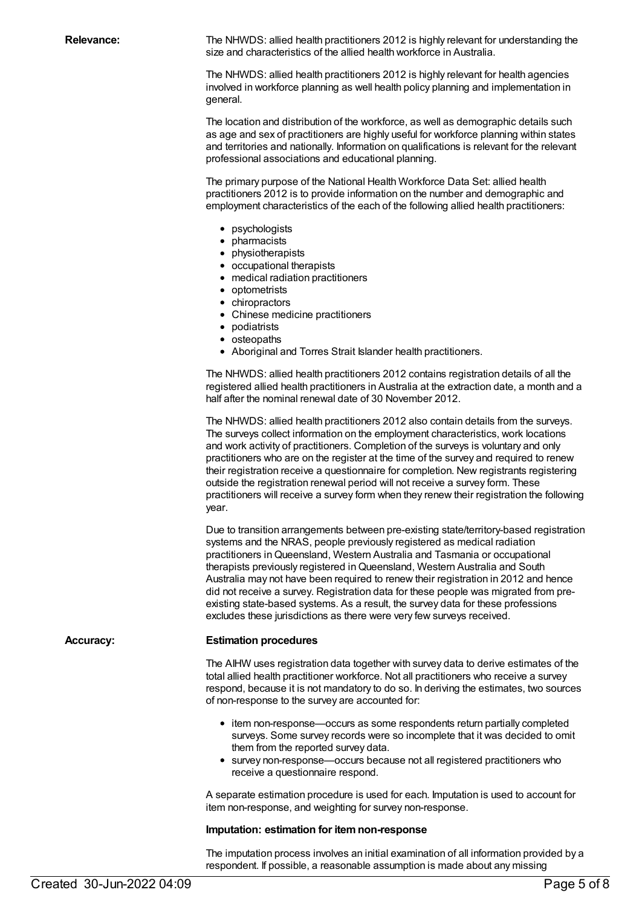**Relevance:** The NHWDS: allied health practitioners 2012 is highly relevant for understanding the size and characteristics of the allied health workforce in Australia.

> The NHWDS: allied health practitioners 2012 is highly relevant for health agencies involved in workforce planning as well health policy planning and implementation in general.

The location and distribution of the workforce, as well as demographic details such as age and sex of practitioners are highly useful for workforce planning within states and territories and nationally. Information on qualifications is relevant for the relevant professional associations and educational planning.

The primary purpose of the National Health Workforce Data Set: allied health practitioners 2012 is to provide information on the number and demographic and employment characteristics of the each of the following allied health practitioners:

- psychologists
- pharmacists
- physiotherapists
- occupational therapists
- medical radiation practitioners
- optometrists
- chiropractors
- Chinese medicine practitioners
- podiatrists
- osteopaths
- Aboriginal and Torres Strait Islander health practitioners.

The NHWDS: allied health practitioners 2012 contains registration details of all the registered allied health practitioners in Australia at the extraction date, a month and a half after the nominal renewal date of 30 November 2012.

The NHWDS: allied health practitioners 2012 also contain details from the surveys. The surveys collect information on the employment characteristics, work locations and work activity of practitioners. Completion of the surveys is voluntary and only practitioners who are on the register at the time of the survey and required to renew their registration receive a questionnaire for completion. New registrants registering outside the registration renewal period will not receive a survey form. These practitioners will receive a survey form when they renew their registration the following year.

Due to transition arrangements between pre-existing state/territory-based registration systems and the NRAS, people previously registered as medical radiation practitioners inQueensland, Western Australia and Tasmania or occupational therapists previously registered inQueensland, Western Australia and South Australia may not have been required to renew their registration in 2012 and hence did not receive a survey. Registration data for these people was migrated from preexisting state-based systems. As a result, the survey data for these professions excludes these jurisdictions as there were very few surveys received.

#### **Accuracy: Estimation procedures**

The AIHW uses registration data together with survey data to derive estimates of the total allied health practitioner workforce. Not all practitioners who receive a survey respond, because it is not mandatory to do so. In deriving the estimates, two sources of non-response to the survey are accounted for:

- item non-response—occurs as some respondents return partially completed surveys. Some survey records were so incomplete that it was decided to omit them from the reported survey data.
- survey non-response—occurs because not all registered practitioners who receive a questionnaire respond.

A separate estimation procedure is used for each. Imputation is used to account for item non-response, and weighting for survey non-response.

#### **Imputation: estimation for itemnon-response**

The imputation process involves an initial examination of all information provided by a respondent. If possible, a reasonable assumption is made about any missing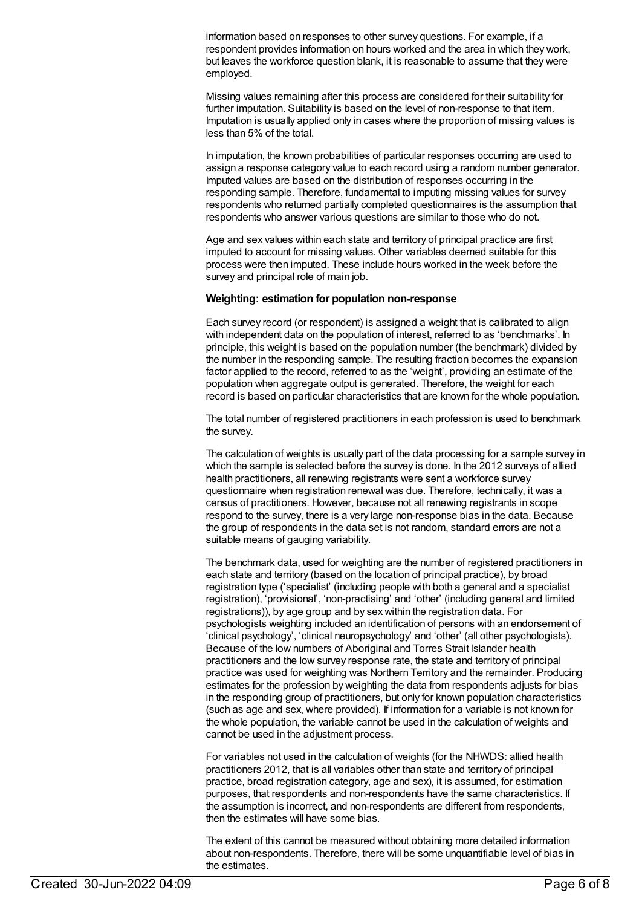information based on responses to other survey questions. For example, if a respondent provides information on hours worked and the area in which they work, but leaves the workforce question blank, it is reasonable to assume that they were employed.

Missing values remaining after this process are considered for their suitability for further imputation. Suitability is based on the level of non-response to that item. Imputation is usually applied only in cases where the proportion of missing values is less than 5% of the total.

In imputation, the known probabilities of particular responses occurring are used to assign a response category value to each record using a random number generator. Imputed values are based on the distribution of responses occurring in the responding sample. Therefore, fundamental to imputing missing values for survey respondents who returned partially completed questionnaires is the assumption that respondents who answer various questions are similar to those who do not.

Age and sex values within each state and territory of principal practice are first imputed to account for missing values. Other variables deemed suitable for this process were then imputed. These include hours worked in the week before the survey and principal role of main job.

#### **Weighting: estimation for population non-response**

Each survey record (or respondent) is assigned a weight that is calibrated to align with independent data on the population of interest, referred to as 'benchmarks'. In principle, this weight is based on the population number (the benchmark) divided by the number in the responding sample. The resulting fraction becomes the expansion factor applied to the record, referred to as the 'weight', providing an estimate of the population when aggregate output is generated. Therefore, the weight for each record is based on particular characteristics that are known for the whole population.

The total number of registered practitioners in each profession is used to benchmark the survey.

The calculation of weights is usually part of the data processing for a sample survey in which the sample is selected before the survey is done. In the 2012 surveys of allied health practitioners, all renewing registrants were sent a workforce survey questionnaire when registration renewal was due. Therefore, technically, it was a census of practitioners. However, because not all renewing registrants in scope respond to the survey, there is a very large non-response bias in the data. Because the group of respondents in the data set is not random, standard errors are not a suitable means of gauging variability.

The benchmark data, used for weighting are the number of registered practitioners in each state and territory (based on the location of principal practice), by broad registration type ('specialist' (including people with both a general and a specialist registration), 'provisional', 'non-practising' and 'other' (including general and limited registrations)), by age group and by sex within the registration data. For psychologists weighting included an identification of persons with an endorsement of 'clinical psychology', 'clinical neuropsychology' and 'other' (all other psychologists). Because of the low numbers of Aboriginal and Torres Strait Islander health practitioners and the low survey response rate, the state and territory of principal practice was used for weighting was Northern Territory and the remainder. Producing estimates for the profession by weighting the data from respondents adjusts for bias in the responding group of practitioners, but only for known population characteristics (such as age and sex, where provided). If information for a variable is not known for the whole population, the variable cannot be used in the calculation of weights and cannot be used in the adjustment process.

For variables not used in the calculation of weights (for the NHWDS: allied health practitioners 2012, that is all variables other than state and territory of principal practice, broad registration category, age and sex), it is assumed, for estimation purposes, that respondents and non-respondents have the same characteristics. If the assumption is incorrect, and non-respondents are different from respondents, then the estimates will have some bias.

The extent of this cannot be measured without obtaining more detailed information about non-respondents. Therefore, there will be some unquantifiable level of bias in the estimates.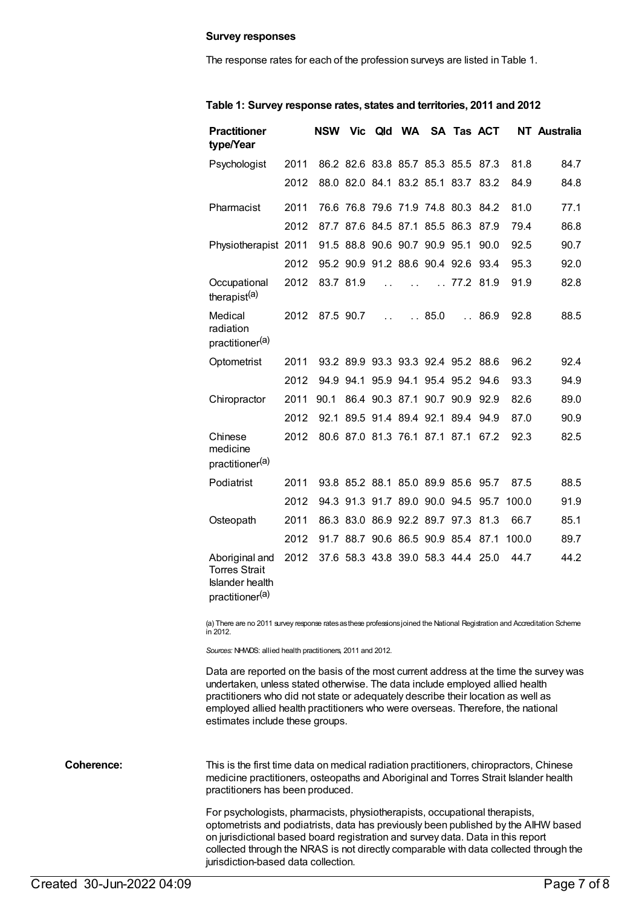#### **Survey responses**

The response rates for each of the profession surveys are listed in Table 1.

| <b>Practitioner</b><br>type/Year                                                                |      | <b>NSW</b> | <b>Vic</b> |                      | Qld WA               |                                    | SA Tas ACT   |       |       | NT Australia |
|-------------------------------------------------------------------------------------------------|------|------------|------------|----------------------|----------------------|------------------------------------|--------------|-------|-------|--------------|
| Psychologist                                                                                    | 2011 |            |            |                      |                      | 86.2 82.6 83.8 85.7 85.3 85.5 87.3 |              |       | 81.8  | 84.7         |
|                                                                                                 | 2012 |            |            |                      |                      | 88.0 82.0 84.1 83.2 85.1 83.7      |              | 83.2  | 84.9  | 84.8         |
| Pharmacist                                                                                      | 2011 |            |            |                      |                      | 76.6 76.8 79.6 71.9 74.8 80.3 84.2 |              |       | 81.0  | 77.1         |
|                                                                                                 | 2012 |            |            |                      |                      | 87.7 87.6 84.5 87.1 85.5 86.3      |              | 87.9  | 79.4  | 86.8         |
| Physiotherapist 2011                                                                            |      |            |            |                      |                      | 91.5 88.8 90.6 90.7 90.9 95.1      |              | 90.0  | 92.5  | 90.7         |
|                                                                                                 | 2012 |            |            |                      |                      | 95.2 90.9 91.2 88.6 90.4 92.6      |              | 93.4  | 95.3  | 92.0         |
| Occupational<br>therapist <sup>(a)</sup>                                                        | 2012 |            | 83.7 81.9  | $\ddot{\phantom{0}}$ | $\ddot{\phantom{0}}$ |                                    | $.77.2$ 81.9 |       | 91.9  | 82.8         |
| Medical<br>radiation<br>practitioner <sup>(a)</sup>                                             | 2012 |            | 87.5 90.7  | $\ddot{\phantom{0}}$ |                      | . . 85.0                           |              | .86.9 | 92.8  | 88.5         |
| Optometrist                                                                                     | 2011 |            |            |                      |                      | 93.2 89.9 93.3 93.3 92.4 95.2 88.6 |              |       | 96.2  | 92.4         |
|                                                                                                 | 2012 |            |            |                      |                      | 94.9 94.1 95.9 94.1 95.4 95.2      |              | 94.6  | 93.3  | 94.9         |
| Chiropractor                                                                                    | 2011 | 90.1       |            |                      |                      | 86.4 90.3 87.1 90.7 90.9           |              | 92.9  | 82.6  | 89.0         |
|                                                                                                 | 2012 | 92.1       |            |                      |                      | 89.5 91.4 89.4 92.1 89.4           |              | 94.9  | 87.0  | 90.9         |
| Chinese<br>medicine<br>practitioner <sup>(a)</sup>                                              | 2012 |            |            |                      |                      | 80.6 87.0 81.3 76.1 87.1 87.1      |              | 67.2  | 92.3  | 82.5         |
| Podiatrist                                                                                      | 2011 |            |            |                      |                      | 93.8 85.2 88.1 85.0 89.9 85.6      |              | 95.7  | 87.5  | 88.5         |
|                                                                                                 | 2012 |            |            |                      |                      | 94.3 91.3 91.7 89.0 90.0 94.5      |              | 95.7  | 100.0 | 91.9         |
| Osteopath                                                                                       | 2011 |            |            |                      |                      | 86.3 83.0 86.9 92.2 89.7 97.3      |              | 81.3  | 66.7  | 85.1         |
|                                                                                                 | 2012 |            |            |                      |                      | 91.7 88.7 90.6 86.5 90.9 85.4 87.1 |              |       | 100.0 | 89.7         |
| Aboriginal and<br><b>Torres Strait</b><br><b>Islander</b> health<br>practitioner <sup>(a)</sup> | 2012 |            |            |                      |                      | 37.6 58.3 43.8 39.0 58.3 44.4 25.0 |              |       | 44.7  | 44.2         |

| Table 1: Survey response rates, states and territories, 2011 and 2012 |  |
|-----------------------------------------------------------------------|--|
|-----------------------------------------------------------------------|--|

(a) There are no 2011 survey response ratesasthese professionsjoined the National Registration and Accreditation Scheme in 2012.

*Sources:* NHWDS: allied health practitioners, 2011 and 2012.

Data are reported on the basis of the most current address at the time the survey was undertaken, unless stated otherwise. The data include employed allied health practitioners who did not state or adequately describe their location as well as employed allied health practitioners who were overseas. Therefore, the national estimates include these groups.

**Coherence:** This is the first time data on medical radiation practitioners, chiropractors, Chinese medicine practitioners, osteopaths and Aboriginal and Torres Strait Islander health practitioners has been produced.

> For psychologists, pharmacists, physiotherapists, occupational therapists, optometrists and podiatrists, data has previously been published by the AIHW based on jurisdictional based board registration and survey data. Data in this report collected through the NRAS is not directly comparable with data collected through the jurisdiction-based data collection.